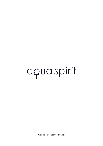# aquaspirit

Available Monday – Sunday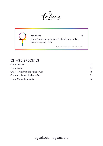Aqua Pride 16 Chase Vodka, pomegranate & elderflower cordial, lemon juice, egg white

\*50% of the net profit donated to Pride in London

#### CHASE SPECIALS

| Chase GB Gin                    | 13. |
|---------------------------------|-----|
| Chase Vodka                     | 16  |
| Chase Grapefruit and Pomelo Gin | 16  |
| Chase Apple and Rhubarb Gin     | 16  |
| Chase Marmalade Vodka           |     |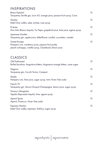#### INSPIRATIONS

| Besos Español<br>Tanqueray Seville gin, Licor 43, orange juice, passion fruit syrup, Cava                                  | 15 |
|----------------------------------------------------------------------------------------------------------------------------|----|
| Geisha<br>Ketel One vodka, sake, lychee, rose syrup                                                                        | 15 |
| El Jerez<br>Don Julio Blanco tequila, Tio Pepe, grapefruit juice, lime juice, agave syrup                                  | 15 |
| Japanese Garden<br>Tanqueray gin, apple juice, elderflower cordial, cucumber, wasabi                                       | 15 |
| Sweet Escape<br>Pampero rum, cranberry juice, passion fruit purée,<br>peach schnapps, vanilla syrup, Chambord, lemon juice | 15 |

#### CLASSICS

| Old Fashioned<br>Bulleit bourbon, Angostura bitters, Angostura orange bitters, cane sugar | 15 |
|-------------------------------------------------------------------------------------------|----|
| Negroni<br>Tanqueray gin, Cocchi Torino, Campari                                          | 15 |
| Mojito<br>Pampero rum, lime juice, sugar syrup, mint, Fever-Tree soda                     | 15 |
| French <sub>75</sub><br>Tanqueray gin, Veuve Clicquot Champagne, lemon juice, sugar syrup | 15 |
| Tommy's Margarita<br>Tapatio Reposado tequila, lime, agave syrup                          | 15 |
| Aperol Spritz<br>Aperol, Prosecco, Fever-Tree soda                                        | 15 |
| Espresso Martini<br>Ketel One vodka, espresso, Kahlua, sugar syrup                        | 15 |
|                                                                                           |    |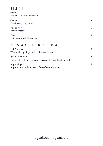## BELLINI

| Ginger<br>Honey, Chambord, Prosecco                                                        | 13 |
|--------------------------------------------------------------------------------------------|----|
| Apricot<br>Elderflower, lime, Prosecco                                                     | 13 |
| Passion fruit<br>Vanilla, Prosecco                                                         | 13 |
| Plum<br>Cointreau, vanilla, Prosecco                                                       | 13 |
| NON-ALCOHOLIC COCKTAILS<br>Pink Paradise<br>Watermelon, pink grapefruit juice, mint, sugar | 8  |

| Lychee Lemonade                                                | 8 |
|----------------------------------------------------------------|---|
| Lychee juice, ginger & lemongrass cordial, Fever-Tree lemonade |   |
| Apple Mojito                                                   | 8 |
| Apple juice, mint, lime, sugar, Fever-Tree soda water          |   |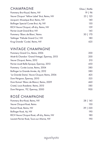| <b>CHAMPAGNE</b>                              | Glass   Bottle |
|-----------------------------------------------|----------------|
| Pommery Brut Royal, Reims, NV                 | 19   96        |
| Veuve Clicquot 'Yellow Label' Brut, Reims, NV | 23   125       |
| Jacquart, Mosaïque Brut, Reims, NV            | 140            |
| Bollinger Special Cuvee Brut, Aÿ, NV          | 150            |
| RICH Veuve Clicquot, off-dry, Reims, NV       | 159            |
| Perrier-Jouët Grand Brut, NV                  | 145            |
| Pommery 'Blanc de Blanc', Reims               | 170<br>30 l    |
| Taittinger 'Prélude Grand Cru', NV            | 180            |
| Krug Grande 'Cuvée', Reims, NV                | 625            |

#### VINTAGE CHAMPAGNE

| Pommery Grand Cru, Reims, 2006                | 200 |
|-----------------------------------------------|-----|
| Moët & Chandon 'Grand Vintage', Épernay, 2013 | 200 |
| Veuve Clicquot, Reims, 2012                   | 210 |
| Perrier-Jouët Belle Epoque, Épernay, 2013     | 450 |
| Pommery Cuvée Louise, Reims, 2004             | 380 |
| Bollinger La Grande Année, Aÿ, 2012           | 380 |
| 'La Grande Dame', Veuve Clicquot, Reims, 2006 | 425 |
| Dom Pérignon, Épernay, 2010                   | 525 |
| Dom Ruinart 'Blanc de Blancs', Reims, 2009    | 460 |
| Cristal, Louis Roederer, Reims, 2013          | 585 |
| Dom Pérignon, 'P2', Épernay, 2000             | 900 |

## ROSÉ CHAMPAGNE

| Pommery Brut Rosé, Reims, NV                 | 28   145 |
|----------------------------------------------|----------|
| Veuve Clicquot Rosé, Reims                   | 150      |
| Ruinart Rosé, Reims, NV                      | 39   220 |
| Bollinger Rosé, Aÿ, NV                       | 190.     |
| RICH Veuve Clicquot Rosé, off-dry, Reims, NV | 180      |
| Laurent-Perrier Rosé, Tours-sur-Marne, NV    | 190      |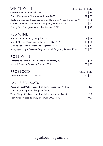| WHITE WINE                                                             | Glass (125ml)   Bottle |
|------------------------------------------------------------------------|------------------------|
| Cortese, Amonte Volpi, Italy, 2020                                     | 9   39                 |
| Koshu, Kayagatake, Grace Wine, Japan, 2020                             | 12   69                |
| Riesling, Grand Cru 'Rosacker', Cave de Hunawihr, Alsace, France, 2019 | $14 \mid 78$           |
| Chablis, Domaine Michaut Freres, Burgundy, France, 2019                | 15   82                |
| Cloudy Bay, Sauvignon Blanc, New Zealand, 2021                         | 16   90                |
| <b>RED WINE</b>                                                        |                        |
| Artolas, Vidigal, Lisboa, Potugal, 2019                                | 9 3 3 9                |
| Merlot, Nostros Gran Reserva, Indómita, Chile, 2019                    | 10   50                |
| Malbec, Las Terrazas, Mendoza, Argentina, 2016                         | $13 \mid 77$           |
| Bourgogne Rouge, Domaine Saguin-Manuel, Burgundy, France, 2018         | 15   82                |
| ROSÉ WINE                                                              |                        |
| Domaine de l'Amour, Côtes de Provence, France, 2020                    | 48<br>$11-1$           |
| Miraval, Côtes de Provence, France, 2020                               | $13 \mid 70$           |
| <b>PROSECCO</b>                                                        | Glass   Bottle         |
| Ruggeri, Prosecco DOC, Treviso                                         | 12   55                |
| LARGE FORMATS                                                          |                        |
| Veuve Clicquot 'Yellow Label' Brut, Reims, Magnum, NV, 1.5L            | 220                    |
| Dom Pérignon, Épernay, Magnum, 2009, 1.5L                              | 1250                   |
| Veuve Clicquot 'Yellow Label' Brut, Reims, Jeroboam, NV, 3L            | 750                    |
| Dom Pérignon Rosé, Epernay, Magnum, 2002, 1.5L                         | 1900                   |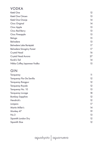#### VODKA

| Ketel One                   | 12 |
|-----------------------------|----|
| Ketel One Citroen           | 13 |
| Ketel One Oranje            | 14 |
| Cîroc Original              | 14 |
| Cîroc Apple                 | 13 |
| Cîroc Red Berry             | 13 |
| Cîroc Pineapple             | 13 |
| Beluga                      | 15 |
| Belvedere                   | 13 |
| Belvedere Lake Bartężek     | 17 |
| Belvedere Smogóry Forest    | 17 |
| Crystal Head                | 16 |
| Crystal Head Aurora         | 27 |
| Konik's Tail                | 14 |
| Nikka Coffey Japanese Vodka | 15 |

## GIN

| Tanqueray                 | 11 |
|---------------------------|----|
| Tanqueray Flor De Sevilla | 12 |
| Tanqueray Rangpur         | 12 |
| Tanqueray Royale          | 12 |
| Tanqueray No. 10          | 13 |
| Tanqueray Lovage          | 18 |
| <b>Bombay Sapphire</b>    | 12 |
| Hendrick's                | 12 |
| Junipero                  | 17 |
| Martin Miller's           | 14 |
| Monkey 47                 | 19 |
| No.3                      | 13 |
| Sipsmith London Dry       | 12 |
| Sipsmith Sloe             | 12 |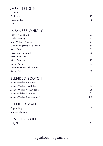#### JAPANESE GIN

| Ki No Bi     | 17.5 |
|--------------|------|
| Ki No tou    | 22   |
| Nikka Coffey | 18   |
| Roku         | 13   |

#### JAPANESE WHISKY

| Hakushu 12 Yrs Old           | 20 |
|------------------------------|----|
| Hibiki Harmony               | 22 |
| Mars Maltage "Cosmo"         | 21 |
| Mars Komagatake Single Malt  | 39 |
| Nikka Days                   | 15 |
| Nikka from the Barrel        | 20 |
| Nikka Pure Malt              | 20 |
| Nikka Taketsuru              | 20 |
| Suntory Chita                | 19 |
| Suntory Kakubin Yellow Label | 23 |
| Suntory Toki                 | 12 |

#### BLENDED SCOTCH

| Johnnie Walker Black Label    |     |
|-------------------------------|-----|
| Johnnie Walker Gold Label     | 16  |
| Johnnie Walker Platinum Label | 26. |
| Johnnie Walker Blue Label     | 56  |
| Johnnie Walker King George V  | 175 |

#### BLENDED MALT

| Copper Dog      |  |
|-----------------|--|
| Monkey Shoulder |  |

#### SINGLE GRAIN Haig Club 16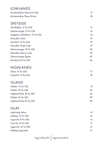| <b>LOWLANDS</b>                  |    |
|----------------------------------|----|
| Auchentoshan American Oak        | 12 |
| Auchentoshan Three Wood          | 18 |
| <b>SPEYSIDE</b>                  |    |
| Glenfiddich 12 Yrs Old           | 13 |
| Glenmorangie 10 Yrs Old          | 14 |
| Singleton of Dufftown 12 Yrs Old | 14 |
| Macallan Gold                    | 16 |
| Mortlach 12 Yrs Old              | 19 |
| Macallan Triple Cask             | 19 |
| Glenmorangie 18 Yrs Old          | 30 |
| Macallan Sherry Cask             | 39 |
| Glenmorangie Signet              | 47 |
| Mortlach 20 Yrs Old              | 66 |
| <b>HIGHLANDS</b>                 |    |
| Oban 14 Yrs Old                  | 17 |
| Clynelish 14 Yrs Old             | 18 |
| <b>ISLAND</b>                    |    |
| Talisker 10 Yrs Old              | 15 |
| Talisker 18 Yrs Old              | 26 |
| Highland Park 18 Yrs Old         | 26 |
| Talisker 25 Yrs Old              | 99 |
| Highland Park 25 Yrs Old         | 99 |
| <b>ISLAY</b>                     |    |
| Laphroaig Select                 | 14 |
| Ardbeg 10 Yrs Old                | 16 |
| Lagavulin 8 Yrs Old              | 16 |
| Caol Ila 12 Yrs Old              | 17 |

aquakyoto | aquanueva

Lagavulin 16 Yrs Old 21 Ardbeg Uigeadail 21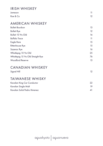#### IRISH WHISKEY

| Jameson  | 11. |
|----------|-----|
| Roe & Co | 12. |

#### AMERICAN WHISKEY

| <b>Bulleit Bourbon</b>             | 13 |
|------------------------------------|----|
| <b>Bulleit Rye</b>                 | 12 |
| Bulleit 10 Yrs Old                 | 16 |
| <b>Buffalo Trace</b>               | 11 |
| Eagle Rare                         | 15 |
| Rittenhouse Rye                    | 15 |
| Sazerac Rye                        | 16 |
| Whistlepig 10 Yrs Old              | 25 |
| Whistlepig 15 Yrs Old Straight Rye | 76 |
| Woodford Reserve                   | 13 |
|                                    |    |

#### CANADIAN WHISKEY

| Signal Hill | 12 |
|-------------|----|
|-------------|----|

#### TAIWANESE WHISKY

| Kavalan King Car Conductor   |     |
|------------------------------|-----|
| Kavalan Single Malt          | 19. |
| Kavalan Solist Pedro Ximenez |     |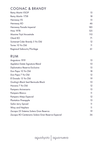## COGNAC & BRANDY

| <b>Remy Martin VSOP</b>         | 15  |
|---------------------------------|-----|
| Remy Martin 1738                | 18  |
| Hennessy VS                     | 15  |
| Hennessy XO                     | 46  |
| Hennessy Paradis Imperial       | 185 |
| <b>Hine 1978</b>                | 125 |
| Maxime Trijol Ancestrale        | 110 |
| Otard XO                        | 71  |
| Somerset Cider Brandy 5 Yrs Old | 12  |
| Torres 10 Yrs Old               | 11  |
| Ragnaud Sabourin/Florilege      | 61  |

#### RUM

| Angostura 1919                                    | 13      |
|---------------------------------------------------|---------|
| Appleton Estate Signature Blend                   | 10      |
| Diplomatico Reserva Exclusiva                     | 15      |
| Don Papa 10 Yrs Old                               | 18      |
| Don Papa 7 Yrs Old                                | $12 \,$ |
| El Dorado 15 Yrs Old                              | 19      |
| Gosling's Black Seal Bermuda Black                | 10      |
| Havana 7 Yrs Old                                  | 12      |
| Pampero Aniversario                               | 15      |
| Pampero Blanco                                    | 11      |
| Pampero Añejo Especial                            | 12      |
| <b>Plantation Pineapple</b>                       | 13      |
| Sailor Jerry Spiced                               | 11      |
| Wray and Nephew                                   | 11      |
| Zacapa 23 Sistema Solera Gran Reserva             | 19      |
| Zacapa XO Centenario Solera Gran Reserva Especial | 36      |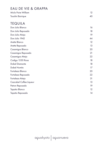## EAU DE VIE & GRAPPA

| Miclo Poire William      |    |
|--------------------------|----|
| <b>Tosolini Barrique</b> | 40 |

#### TEQUILA

| Don Julio Blanco        | 16 |
|-------------------------|----|
| Don Julio Reposado      | 18 |
| Don Julio Añejo         | 19 |
| Don Julio 1942          | 44 |
| Arette Blanco           | 12 |
| Arette Reposado         | 13 |
| Casamigos Blanco        | 20 |
| Casamigos Reposado      | 21 |
| Casamigos Añejo         | 22 |
| Codigo 1530 Rosa        | 18 |
| Dobel Diamante          | 18 |
| Dobel Humito            | 17 |
| Fortaleza Blanco        | 20 |
| Fortaleza Reposado      | 22 |
| Fortaleza Añejo         | 31 |
| Cazcabel Coffee Liqueur | 13 |
| Patron Reposado         | 19 |
| Tapatio Blanco          | 12 |
| Tapatio Reposado        | 14 |
|                         |    |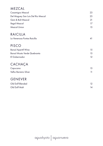## MEZCAL Casamigos Mezcal 23 Del Maguey San Luis Del Rio Mescal 25 Gem & Bolt Mezcal 21 Ilegal Mezcal 17 Mezcal Union 15 RAICILLA La Venenosa Puntas Raicilla 41 PISCO Barsol Aperitif Wine 15 Barsol Mosto Verde Quebranta 15 El Gobernador 12 CACHAÇA Capucana 15

| Capucana              |  |
|-----------------------|--|
| Velho Barreiro Silver |  |

#### GENEVER

| Old Duff Blended |  |
|------------------|--|
| Old Duff Malt    |  |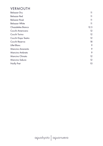#### VERMOUTH

| <b>Belsazar Dry</b>   | 11                |
|-----------------------|-------------------|
| Belsazar Red          | 11                |
| Belsazar Rosé         | 11                |
| <b>Belsazar White</b> | 11                |
| Chazalettes Bianco    | 12.5              |
| Cocchi Americano      | $12 \,$           |
| Cocchi Torino         | $12 \overline{ }$ |
| Cocchi Dopo Teatro    | $12 \overline{ }$ |
| Cocchi Reserva        | 18                |
| Lillet Blanc          | 9                 |
| Mancino Amaranto      | 9                 |
| Mancino Ambrato       | 9                 |
| Mancino Chinato       | $12 \overline{ }$ |
| Mancino Sakura        | $12 \overline{ }$ |
| Noilly Prat           | 10                |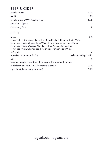## BEER & CIDER

| Estrella Damm                      | 6.95 |
|------------------------------------|------|
| Asahi                              | 6.95 |
| Estrella Galicia 0.0% Alcohol Free | 6.95 |
| Rekorderlig Apple                  |      |
| Rekorderlig Pear                   | 7    |
|                                    |      |

## SOFT

| <b>Mixers</b>                                                            | 2.5                      |
|--------------------------------------------------------------------------|--------------------------|
| Coca-Cola   Diet Coke   Fever-Tree Refreshingly Light Indian Tonic Water |                          |
| Fever-Tree Premium Indian Tonic Water   Fever-Tree Lemon Tonic Water     |                          |
| Fever-Tree Premium Ginger Ale   Fever-Tree Premium Ginger Beer           |                          |
| Fever-Tree Premium Lemonade   Fever-Tree Premium Soda Water              |                          |
| Soft drinks                                                              | $\overline{A}$           |
| Aqua Decantae water 750ml                                                | Still & Sparkling   4.95 |
| Juices                                                                   | 5                        |
| Orange   Apple   Cranberry   Pineapple   Grapefruit   Tomato             |                          |
| Tea (please ask your server for today's selection)                       | 3.95                     |
| Illy coffee (please ask your server)                                     | 3.95                     |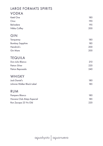## LARGE FORMATS SPIRITS

#### VODKA

| Ketel One                  | 180 |
|----------------------------|-----|
| Cîroc                      | 190 |
| Belvedere                  | 195 |
| Nikka Coffey               | 200 |
| GIN                        |     |
| Tanqueray                  | 180 |
| <b>Bombay Sapphire</b>     | 185 |
| Hendrick's                 | 200 |
| Gin Mare                   | 200 |
| <b>TEQUILA</b>             |     |
| Don Julio Blanco           | 210 |
| Patron Silver              | 220 |
| Patron Reposado            | 240 |
| WHISKY                     |     |
| Jack Daniel's              | 180 |
| Johnnie Walker Black Label | 185 |
| <b>RUM</b>                 |     |
| Pampero Blanco             | 180 |
| Havana Club Añejo Especial | 185 |
| Ron Zacapa 23 Yrs Old      | 220 |
|                            |     |